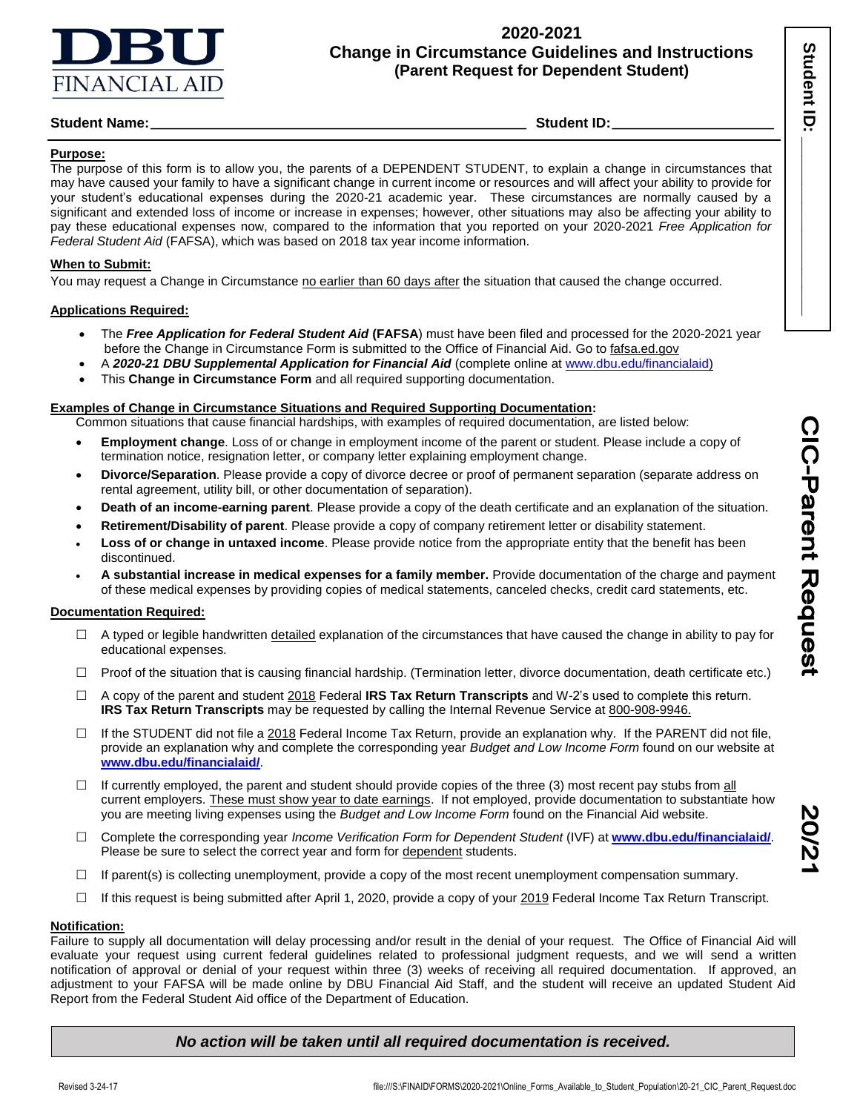

## **2020-2021 Change in Circumstance Guidelines and Instructions (Parent Request for Dependent Student)**

## **Student Name:** Student ID: Student ID: Student ID: Student ID: Student ID: Student ID: Student ID: Student ID: Student ID: Student ID: Student ID: Student ID: Student ID: Student ID: Student ID: Student ID: Student ID: St

### **Purpose:**

The purpose of this form is to allow you, the parents of a DEPENDENT STUDENT, to explain a change in circumstances that may have caused your family to have a significant change in current income or resources and will affect your ability to provide for your student's educational expenses during the 2020-21 academic year. These circumstances are normally caused by a significant and extended loss of income or increase in expenses; however, other situations may also be affecting your ability to pay these educational expenses now, compared to the information that you reported on your 2020-2021 *Free Application for Federal Student Aid* (FAFSA), which was based on 2018 tax year income information.

### **When to Submit:**

You may request a Change in Circumstance no earlier than 60 days after the situation that caused the change occurred.

### **Applications Required:**

- The *Free Application for Federal Student Aid* **(FAFSA**) must have been filed and processed for the 2020-2021 year before the Change in Circumstance Form is submitted to the Office of Financial Aid. Go to fafsa.ed.gov
- A *2020-21 DBU Supplemental Application for Financial Aid* (complete online a[t www.dbu.edu/financialaid\)](http://www.dbu.edu/financialaid)
- This **Change in Circumstance Form** and all required supporting documentation.

### **Examples of Change in Circumstance Situations and Required Supporting Documentation:**

Common situations that cause financial hardships, with examples of required documentation, are listed below:

- **Employment change**. Loss of or change in employment income of the parent or student. Please include a copy of termination notice, resignation letter, or company letter explaining employment change.
- **Divorce/Separation**. Please provide a copy of divorce decree or proof of permanent separation (separate address on rental agreement, utility bill, or other documentation of separation).
- **Death of an income-earning parent**. Please provide a copy of the death certificate and an explanation of the situation.
- **Retirement/Disability of parent**. Please provide a copy of company retirement letter or disability statement.
- **Loss of or change in untaxed income**. Please provide notice from the appropriate entity that the benefit has been discontinued.
- **A substantial increase in medical expenses for a family member.** Provide documentation of the charge and payment of these medical expenses by providing copies of medical statements, canceled checks, credit card statements, etc.

### **Documentation Required:**

- $\Box$  A typed or legible handwritten detailed explanation of the circumstances that have caused the change in ability to pay for educational expenses.
- $\Box$  Proof of the situation that is causing financial hardship. (Termination letter, divorce documentation, death certificate etc.)
- A copy of the parent and student 2018 Federal **IRS Tax Return Transcripts** and W-2's used to complete this return. **IRS Tax Return Transcripts** may be requested by calling the Internal Revenue Service at 800-908-9946.
- $\Box$  If the STUDENT did not file a 2018 Federal Income Tax Return, provide an explanation why. If the PARENT did not file, provide an explanation why and complete the corresponding year *Budget and Low Income Form* found on our website at **www.dbu.edu/financialaid/**.
- $\Box$  If currently employed, the parent and student should provide copies of the three (3) most recent pay stubs from all current employers. These must show year to date earnings. If not employed, provide documentation to substantiate how you are meeting living expenses using the *Budget and Low Income Form* found on the Financial Aid website.
- Complete the corresponding year *Income Verification Form for Dependent Student* (IVF) at **[www.dbu.edu/financialaid/](http://www.dbu.edu/financialaid/)**. Please be sure to select the correct year and form for dependent students.
- $\Box$  If parent(s) is collecting unemployment, provide a copy of the most recent unemployment compensation summary.
- $\Box$  If this request is being submitted after April 1, 2020, provide a copy of your 2019 Federal Income Tax Return Transcript.

### **Notification:**

Failure to supply all documentation will delay processing and/or result in the denial of your request. The Office of Financial Aid will evaluate your request using current federal guidelines related to professional judgment requests, and we will send a written notification of approval or denial of your request within three (3) weeks of receiving all required documentation. If approved, an adjustment to your FAFSA will be made online by DBU Financial Aid Staff, and the student will receive an updated Student Aid Report from the Federal Student Aid office of the Department of Education.

## *No action will be taken until all required documentation is received.*

Student ID: **\_\_\_\_\_\_\_\_\_\_\_\_\_\_\_** 

Student ID

Ī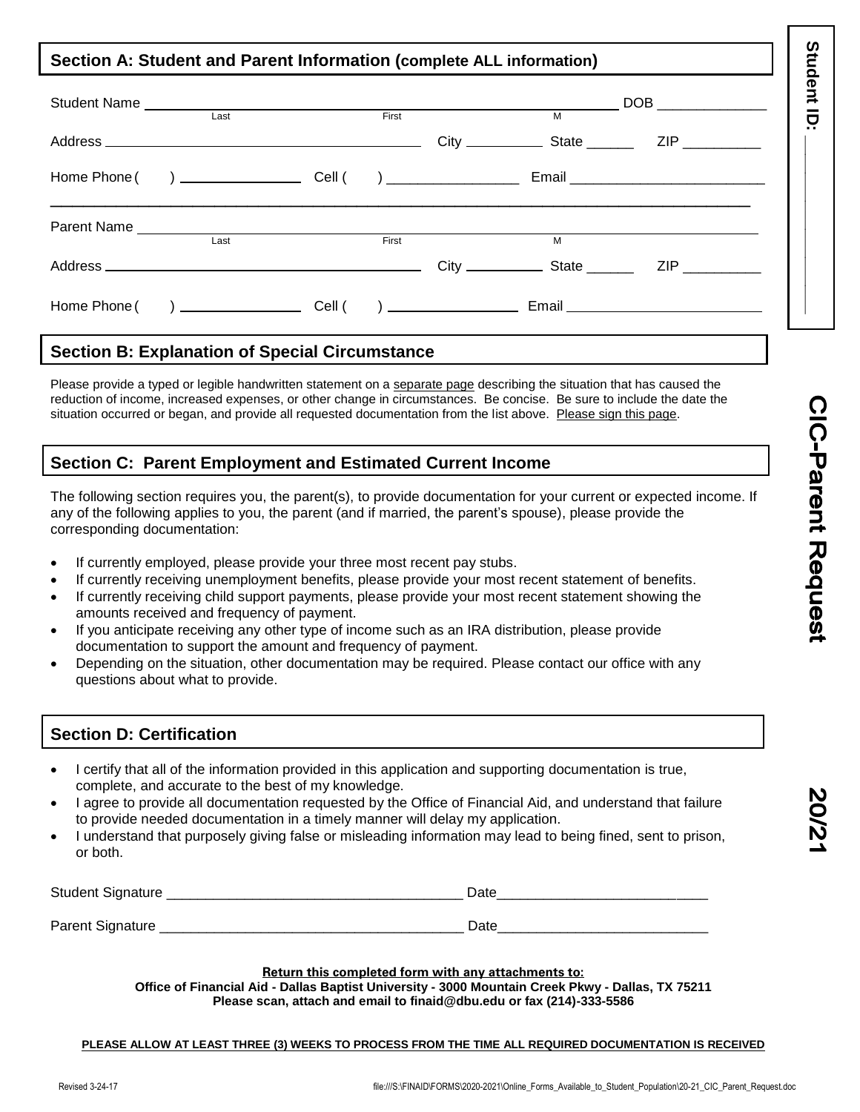## **Section A: Student and Parent Information (complete ALL information)**

| Last |  | First |  | <b>M</b> |                                                                                                                                                                                                                                      |
|------|--|-------|--|----------|--------------------------------------------------------------------------------------------------------------------------------------------------------------------------------------------------------------------------------------|
|      |  |       |  |          |                                                                                                                                                                                                                                      |
|      |  |       |  |          | Email <b>Executive Contract Contract Contract Contract Contract Contract Contract Contract Contract Contract Contract Contract Contract Contract Contract Contract Contract Contract Contract Contract Contract Contract Contrac</b> |

# **Section B: Explanation of Special Circumstance**

Please provide a typed or legible handwritten statement on a separate page describing the situation that has caused the reduction of income, increased expenses, or other change in circumstances. Be concise. Be sure to include the date the situation occurred or began, and provide all requested documentation from the list above. Please sign this page.

# **Section C: Parent Employment and Estimated Current Income**

The following section requires you, the parent(s), to provide documentation for your current or expected income. If any of the following applies to you, the parent (and if married, the parent's spouse), please provide the corresponding documentation:

- If currently employed, please provide your three most recent pay stubs.
- If currently receiving unemployment benefits, please provide your most recent statement of benefits.
- If currently receiving child support payments, please provide your most recent statement showing the amounts received and frequency of payment.
- If you anticipate receiving any other type of income such as an IRA distribution, please provide documentation to support the amount and frequency of payment.
- Depending on the situation, other documentation may be required. Please contact our office with any questions about what to provide.

# **Section D: Certification**

- I certify that all of the information provided in this application and supporting documentation is true, complete, and accurate to the best of my knowledge.
- I agree to provide all documentation requested by the Office of Financial Aid, and understand that failure to provide needed documentation in a timely manner will delay my application.
- I understand that purposely giving false or misleading information may lead to being fined, sent to prison, or both.

| Student Signature | Date |
|-------------------|------|
|                   |      |
| Parent Signature  | Date |

## **Return this completed form with any attachments to:**

**Office of Financial Aid - Dallas Baptist University - 3000 Mountain Creek Pkwy - Dallas, TX 75211 Please scan, attach and email to finaid@dbu.edu or fax (214)-333-5586**

### **PLEASE ALLOW AT LEAST THREE (3) WEEKS TO PROCESS FROM THE TIME ALL REQUIRED DOCUMENTATION IS RECEIVED**

Student ID: **\_\_\_\_\_\_\_\_\_\_\_\_\_\_\_** 

Student ID: